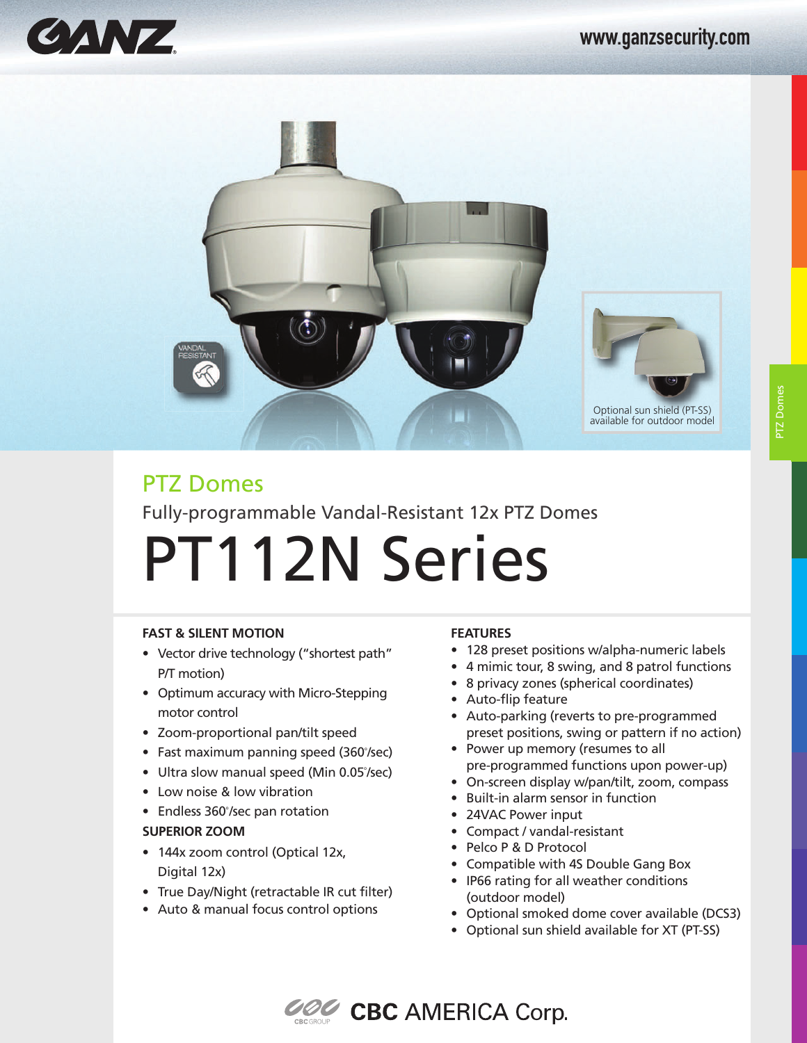



# PTZ Domes Fully-programmable Vandal-Resistant 12x PTZ Domes

# PT112N Series

### **FAST & SILENT MOTION**

- Vector drive technology ("shortest path" P/T motion)
- Optimum accuracy with Micro-Stepping motor control
- Zoom-proportional pan/tilt speed
- $\bullet$  Fast maximum panning speed (360°/sec)
- Ultra slow manual speed (Min 0.05°/sec)
- Low noise & low vibration
- Endless 360°/sec pan rotation **SUPERIOR ZOOM**
- 144x zoom control (Optical 12x, Digital 12x)
- True Day/Night (retractable IR cut filter)
- Auto & manual focus control options

### **FEATURES**

- 128 preset positions w/alpha-numeric labels
- 4 mimic tour, 8 swing, and 8 patrol functions
- 8 privacy zones (spherical coordinates)
- Auto-flip feature
- Auto-parking (reverts to pre-programmed preset positions, swing or pattern if no action)
- Power up memory (resumes to all pre-programmed functions upon power-up)
- On-screen display w/pan/tilt, zoom, compass
- Built-in alarm sensor in function
- 24VAC Power input
- Compact / vandal-resistant
- Pelco P & D Protocol
- Compatible with 4S Double Gang Box
- IP66 rating for all weather conditions (outdoor model)
- Optional smoked dome cover available (DCS3)
- Optional sun shield available for XT (PT-SS)